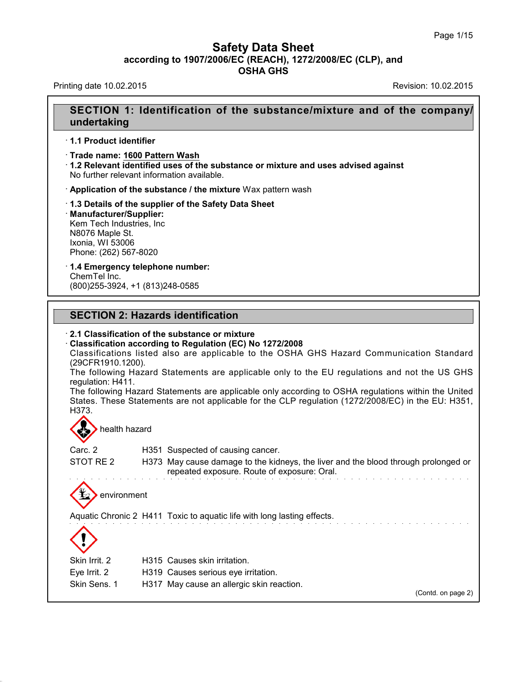## **Safety Data Sheet<br>006/EC (REACH), 1272/2008/EC (CLP),<br>OSHA GHS according to 1907/2006/EC (REACH), 1272/2008/EC (CLP), and<br>
Data Sheet (CLP), and<br>
OSHA GHS Safety Data Sheet**<br>according to 1907/2006/EC (REACH), 1272/2008/EC (CLP), and<br>OSHA GHS Safety Data Sheet<br>according to 1907/2006/EC (REACH), 1272/2008/EC (CLP), and<br>OSHA GHS<br>Revision: 10.02.2015<br>Revision: 10.02.2015

### Printing date 10.02.2015<br>**SECTION 1: Identification of the substance/mixture and of the company/ undertaking**

- · **1.1 Product identifier**
- · **Trade name: CITRUS CLEANER SC**

· **1.2 Relevant identified uses of the substance or mixture and uses advised against** No further relevant information available.

· **Application of the substance / the mixture** Wax pattern wash

· **1.3 Details of the supplier of the Safety Data Sheet** · **Manufacturer/Supplier:** Kem Tech Industries, Inc N8076 Maple St. Ixonia, WI 53036 Phone: (262) 567-8020

### · **1.4 Emergency telephone number:** ChemTel Inc.

(800)255-3924, +1 (813)248-0585

### **SECTION 2: Hazards identification**<br>2.1 Classification of the substance or mixture

**Classification according to Regulation (EC) No 1272/2008** 

**SECTION 2: Hazards identification<br>
· 2.1 Classification of the substance or mixture<br>
· Classification according to Regulation (EC) No 1272/2008<br>
Classifications listed also are applicable to the OSHA GHS H<br>
(29CFR1910.120** SECTION 2: Hazards identification<br>2.1 Classification of the substance or mixture<br>Classification according to Regulation (EC) No 1272/2008<br>Classifications listed also are applicable to the OSHA GHS Hazard Communication Stan (29CFR1910.1200).<br>The following Hazard Statements are applicable only to the EU regulations and not the US GHS 2.1 Classification of the substance or mixture<br>Classification according to Regulation (EC) No 1272/2008<br>Classifications listed also are applicable to the OSHA GHS Hazard Communication Standard<br>(29CFR1910.1200).<br>The followi 2.1 Classification of the sub<br>Classification according to l<br>Classifications listed also<br>(29CFR1910.1200).<br>The following Hazard State<br>regulation: H411.<br>The following Hazard Statem<br>States These Statements ar

Classification according to Regulation (EC) No 1272/2008<br>Classifications listed also are applicable to the OSHA GHS Hazard Communication Standard<br>(29CFR1910.1200).<br>The following Hazard Statements are applicable only to the Classifications listed also are applicable to the OSHA GHS Hazard Communication Standard<br>(29CFR1910.1200).<br>The following Hazard Statements are applicable only to the EU regulations and not the US GHS<br>regulation: H411.<br>The H373. Skin Irrit.<br>
Skin Irrit. 2 Handle Baker Handle Statements are not<br>
Skin Irrit. 2 Handle Baker Handle Care Handle Care Handle Care Handle Care Handle Care Handle Care Handle Care States. These Statements are not applicable for the CLP regulation (1272/2008/EC) in the EU: H351,<br>
H373.<br>
Skin Irrit. 2 H315 Causes skin irritation.<br>
Eye Irrit. 2 H319 Causes serious eye irritation.<br>
Skin Sens 1 H317 Mav Skin Sens. 1

40.1.0

H315 Causes skin irritation.

H319 Causes serious eye irritation.

H317 May cause an allergic skin reactio

(Contd. on page 2)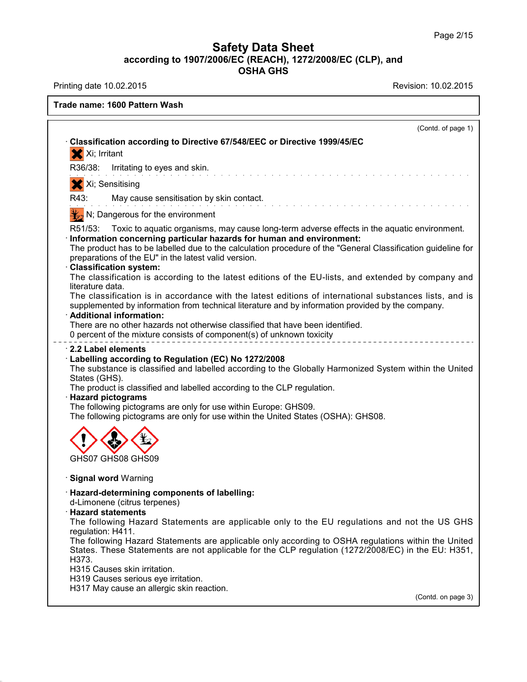$\overline{\phantom{a}}$ 

40.1.0

| rade name: CITRUS CLEANER SC                                                                                                                                                                                                                                                                                                                                                                                                                                                                                                                                             |  |
|--------------------------------------------------------------------------------------------------------------------------------------------------------------------------------------------------------------------------------------------------------------------------------------------------------------------------------------------------------------------------------------------------------------------------------------------------------------------------------------------------------------------------------------------------------------------------|--|
| (Contd. of page 1)                                                                                                                                                                                                                                                                                                                                                                                                                                                                                                                                                       |  |
| Classification according to Directive 67/548/EEC or Directive 1999/45/EC<br>X Xi; Irritant                                                                                                                                                                                                                                                                                                                                                                                                                                                                               |  |
| Irritating to eyes and skin.<br>R36/38:                                                                                                                                                                                                                                                                                                                                                                                                                                                                                                                                  |  |
| .<br>In the second complete state of the second complete state of the second complete state of the second complete<br>X Xi; Sensitising                                                                                                                                                                                                                                                                                                                                                                                                                                  |  |
| May cause sensitisation by skin contact.<br>R43:                                                                                                                                                                                                                                                                                                                                                                                                                                                                                                                         |  |
| distribution of the contract of the contract of the contract of the contract of the contract of the contract of<br>N; Dangerous for the environment                                                                                                                                                                                                                                                                                                                                                                                                                      |  |
| R51/53:<br>Toxic to aquatic organisms, may cause long-term adverse effects in the aquatic environment.<br>Information concerning particular hazards for human and environment:<br>The product has to be labelled due to the calculation procedure of the "General Classification guideline for<br>preparations of the EU" in the latest valid version.<br><b>Classification system:</b><br>The classification is according to the latest editions of the EU-lists, and extended by company and                                                                           |  |
| literature data.<br>The classification is in accordance with the latest editions of international substances lists, and is<br>supplemented by information from technical literature and by information provided by the company.<br>· Additional information:<br>There are no other hazards not otherwise classified that have been identified.<br>0 percent of the mixture consists of component(s) of unknown toxicity                                                                                                                                                  |  |
| 2.2 Label elements<br>Labelling according to Regulation (EC) No 1272/2008<br>The substance is classified and labelled according to the Globally Harmonized System within the United<br>States (GHS).<br>The product is classified and labelled according to the CLP regulation.<br>· Hazard pictograms<br>The following pictograms are only for use within Europe: GHS09.<br>The following pictograms are only for use within the United States (OSHA): GHS08.                                                                                                           |  |
| Causes skin irritation<br>GHS07                                                                                                                                                                                                                                                                                                                                                                                                                                                                                                                                          |  |
| Signal word: Warning                                                                                                                                                                                                                                                                                                                                                                                                                                                                                                                                                     |  |
| · Hazard-determining components of labelling:<br>d-Limonene (citrus terpenes)<br><b>Hazard statements</b><br>The following Hazard Statements are applicable only to the EU regulations and not the US GHS<br>regulation: H411.<br>The following Hazard Statements are applicable only according to OSHA regulations within the United<br>States. These Statements are not applicable for the CLP regulation (1272/2008/EC) in the EU: H351,<br>H373.<br>H315 Causes skin irritation.<br>H319 Causes serious eye irritation.<br>H317 May cause an allergic skin reaction. |  |
| (Contd. on page 3)                                                                                                                                                                                                                                                                                                                                                                                                                                                                                                                                                       |  |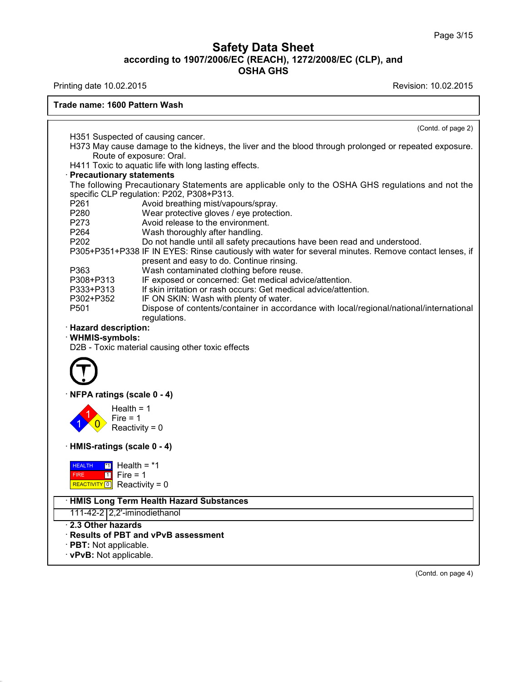40.1.0

| <b>Trade name: CITRUS CLEANER SC</b><br>H411 Toxic to aquatic life with long lasting effects.<br><b>Precautionary statements</b><br>The following Precautionary Statements are applicable only to the OSHA GHS regulations and not the<br>specific CLP regulation: P202, P308+P313.<br>P280<br>Wear protective gloves / eye protection.<br>P273<br>Avoid release to the environment.<br>P264<br>Wash thoroughly after handling.<br>P202<br>Do not handle until all safety precautions have been read and understood.<br>P305+P351+P338 IF IN EYES: Rinse cautiously with water for several minutes. Remove contact lenses, if<br>present and easy to do. Continue rinsing.<br>P363<br>Wash contaminated clothing before reuse.<br>IF exposed or concerned: Get medical advice/attention.<br>P308+P313<br>P333+P313<br>If skin irritation or rash occurs: Get medical advice/attention.<br>P302+P352<br>IF ON SKIN: Wash with plenty of water.<br>Dispose of contents/container in accordance with local/regional/national/international<br>P <sub>501</sub><br>regulations.<br>· Hazard description:<br>· WHMIS-symbols:<br>D2B - Toxic material causing other toxic effects<br>· NFPA ratings (scale 0 - 4)<br>Health = $1$<br>Fire $= 1$<br>Reactivity = $0$<br>HMIS-ratings (scale 0 - 4)<br>$\frac{11}{2}$ Health = *1<br><b>HEALTH</b> | $\frac{1}{2}$ . The contract of the contract of the contract of the contract of the contract of the contract of the contract of the contract of the contract of the contract of the contract of the contract of the contract of t |                    |
|---------------------------------------------------------------------------------------------------------------------------------------------------------------------------------------------------------------------------------------------------------------------------------------------------------------------------------------------------------------------------------------------------------------------------------------------------------------------------------------------------------------------------------------------------------------------------------------------------------------------------------------------------------------------------------------------------------------------------------------------------------------------------------------------------------------------------------------------------------------------------------------------------------------------------------------------------------------------------------------------------------------------------------------------------------------------------------------------------------------------------------------------------------------------------------------------------------------------------------------------------------------------------------------------------------------------------------------------|-----------------------------------------------------------------------------------------------------------------------------------------------------------------------------------------------------------------------------------|--------------------|
|                                                                                                                                                                                                                                                                                                                                                                                                                                                                                                                                                                                                                                                                                                                                                                                                                                                                                                                                                                                                                                                                                                                                                                                                                                                                                                                                             |                                                                                                                                                                                                                                   |                    |
|                                                                                                                                                                                                                                                                                                                                                                                                                                                                                                                                                                                                                                                                                                                                                                                                                                                                                                                                                                                                                                                                                                                                                                                                                                                                                                                                             |                                                                                                                                                                                                                                   | (Contd. of page 2) |
|                                                                                                                                                                                                                                                                                                                                                                                                                                                                                                                                                                                                                                                                                                                                                                                                                                                                                                                                                                                                                                                                                                                                                                                                                                                                                                                                             |                                                                                                                                                                                                                                   |                    |
|                                                                                                                                                                                                                                                                                                                                                                                                                                                                                                                                                                                                                                                                                                                                                                                                                                                                                                                                                                                                                                                                                                                                                                                                                                                                                                                                             |                                                                                                                                                                                                                                   |                    |
|                                                                                                                                                                                                                                                                                                                                                                                                                                                                                                                                                                                                                                                                                                                                                                                                                                                                                                                                                                                                                                                                                                                                                                                                                                                                                                                                             |                                                                                                                                                                                                                                   |                    |
|                                                                                                                                                                                                                                                                                                                                                                                                                                                                                                                                                                                                                                                                                                                                                                                                                                                                                                                                                                                                                                                                                                                                                                                                                                                                                                                                             |                                                                                                                                                                                                                                   |                    |
|                                                                                                                                                                                                                                                                                                                                                                                                                                                                                                                                                                                                                                                                                                                                                                                                                                                                                                                                                                                                                                                                                                                                                                                                                                                                                                                                             |                                                                                                                                                                                                                                   |                    |
|                                                                                                                                                                                                                                                                                                                                                                                                                                                                                                                                                                                                                                                                                                                                                                                                                                                                                                                                                                                                                                                                                                                                                                                                                                                                                                                                             |                                                                                                                                                                                                                                   |                    |
|                                                                                                                                                                                                                                                                                                                                                                                                                                                                                                                                                                                                                                                                                                                                                                                                                                                                                                                                                                                                                                                                                                                                                                                                                                                                                                                                             |                                                                                                                                                                                                                                   |                    |
|                                                                                                                                                                                                                                                                                                                                                                                                                                                                                                                                                                                                                                                                                                                                                                                                                                                                                                                                                                                                                                                                                                                                                                                                                                                                                                                                             |                                                                                                                                                                                                                                   |                    |
|                                                                                                                                                                                                                                                                                                                                                                                                                                                                                                                                                                                                                                                                                                                                                                                                                                                                                                                                                                                                                                                                                                                                                                                                                                                                                                                                             |                                                                                                                                                                                                                                   |                    |
| $1$ Fire = 1<br>FIRE<br>REACTIVITY $\boxed{0}$ Reactivity = 0                                                                                                                                                                                                                                                                                                                                                                                                                                                                                                                                                                                                                                                                                                                                                                                                                                                                                                                                                                                                                                                                                                                                                                                                                                                                               |                                                                                                                                                                                                                                   |                    |
| <b>HMIS Long Term Health Hazard Substances</b>                                                                                                                                                                                                                                                                                                                                                                                                                                                                                                                                                                                                                                                                                                                                                                                                                                                                                                                                                                                                                                                                                                                                                                                                                                                                                              |                                                                                                                                                                                                                                   |                    |
| None of these ingredients are listed                                                                                                                                                                                                                                                                                                                                                                                                                                                                                                                                                                                                                                                                                                                                                                                                                                                                                                                                                                                                                                                                                                                                                                                                                                                                                                        |                                                                                                                                                                                                                                   |                    |
| 2.3 Other hazards<br>· Results of PBT and vPvB assessment<br>$\cdot$ PBT: Not applicable.                                                                                                                                                                                                                                                                                                                                                                                                                                                                                                                                                                                                                                                                                                                                                                                                                                                                                                                                                                                                                                                                                                                                                                                                                                                   |                                                                                                                                                                                                                                   |                    |
| · vPvB: Not applicable.                                                                                                                                                                                                                                                                                                                                                                                                                                                                                                                                                                                                                                                                                                                                                                                                                                                                                                                                                                                                                                                                                                                                                                                                                                                                                                                     |                                                                                                                                                                                                                                   |                    |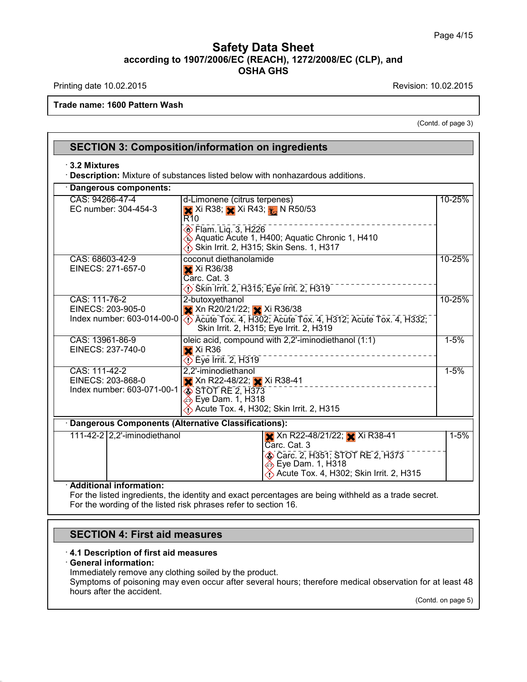on: 10.02.2015<br>(Contd. of page 3)

|                                                                  | <b>SECTION 3: Composition/information on ingredients</b>                                                                                             |          |
|------------------------------------------------------------------|------------------------------------------------------------------------------------------------------------------------------------------------------|----------|
| $\cdot$ 3.2 Mixtures                                             | <b>Description:</b> Mixture of substances listed below with nonhazardous additions.                                                                  |          |
| Dangerous components:                                            |                                                                                                                                                      |          |
| CAS: 94266-47-4<br>EC number: 304-454-3                          | d-Limonene (citrus terpenes)<br>X Xi R38; X Xi R43; X N R50/53<br><b>R</b> 10                                                                        | 10-25%   |
|                                                                  | <b>Elam.</b> Liq. 3, H226<br>Aquatic Acute 1, H400; Aquatic Chronic 1, H410<br>Skin Irrit. 2, H315; Skin Sens. 1, H317                               |          |
| CAS: 68439-46-3<br>NLP: 500-446-0                                | Alcohols, C9-C11, Ethoxylated<br>XXIR38-41<br>$\overline{\diamondsuit}$ Skin Irrit. 2, H315; Eye Irrit. 2, H319                                      | 10-25%   |
| CAS: 111-76-2<br>EINECS: 203-905-0<br>Index number: 603-014-00-0 | 2-butoxyethanol<br>X Xn R20/21/22; Xi R36/38<br><b>Example 20 Acute Tox. 4, H312; Acute Tox. 4, H332;</b><br>Skin Irrit. 2, H315; Eye Irrit. 2, H319 | 10-25%   |
|                                                                  |                                                                                                                                                      | $1 - 5%$ |

### · **Additional information:**

For the listed ingredients, the identity and exact percentages are being withheld as a trade secret. For the wording of the listed risk phrases refer to section 16.

## **SECTION 4: First aid measures SECTION 4: First aid measures**<br> **4.1 Description of first aid measures**<br> **• General information:**<br>
Immediately remove any clothing soiled by the p **SECTION 4: First aid i**<br>**4.1 Description of first aid is General information:**<br>Immediately remove any close Symptoms of poisoning may

40.1.0

**SECTION 4: First aid measures**<br>4.1 Description of first aid measures<br>General information:<br>Immediately remove any clothing soiled by the product.<br>Symptoms of poisoning may even occur after several hours; there **SECTION 4: First aid measures**<br>4.1 Description of first aid measures<br>General information:<br>Immediately remove any clothing soiled by the product.<br>Symptoms of poisoning may even occur after several hours; therefore medical 4.1 Description of first aid meas<br>General information:<br>Immediately remove any clothing s<br>Symptoms of poisoning may even<br>hours after the accident. onder the control of the same control. The same control of the same state of the same state of the same state of the same state of the same state of the same state of the same state of the same state of the same state of t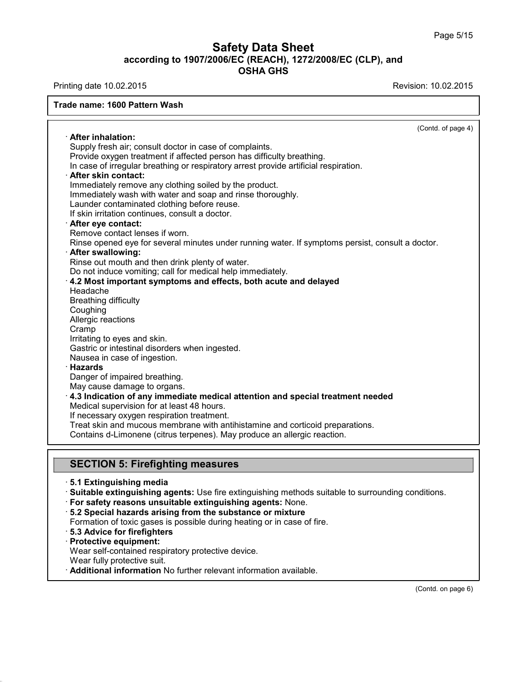| $1.11111119$ auto $10.022201$                                                                     |                    |
|---------------------------------------------------------------------------------------------------|--------------------|
| <b>Trade name: CITRUS CLEANER SC</b>                                                              |                    |
|                                                                                                   | (Contd. of page 4) |
| · After inhalation:                                                                               |                    |
| Supply fresh air; consult doctor in case of complaints.                                           |                    |
| Provide oxygen treatment if affected person has difficulty breathing.                             |                    |
| In case of irregular breathing or respiratory arrest provide artificial respiration.              |                    |
| After skin contact:                                                                               |                    |
| Immediately remove any clothing soiled by the product.                                            |                    |
| Immediately wash with water and soap and rinse thoroughly.                                        |                    |
| Launder contaminated clothing before reuse.                                                       |                    |
| If skin irritation continues, consult a doctor.                                                   |                    |
| After eye contact:                                                                                |                    |
| Remove contact lenses if worn.                                                                    |                    |
| Rinse opened eye for several minutes under running water. If symptoms persist, consult a doctor.  |                    |
| · After swallowing:                                                                               |                    |
| Rinse out mouth and then drink plenty of water.                                                   |                    |
| Do not induce vomiting; call for medical help immediately.                                        |                    |
| 4.2 Most important symptoms and effects, both acute and delayed                                   |                    |
| Headache                                                                                          |                    |
| <b>Breathing difficulty</b>                                                                       |                    |
| Coughing<br>Allergic reactions                                                                    |                    |
| Cramp                                                                                             |                    |
| Irritating to eyes and skin.                                                                      |                    |
| Gastric or intestinal disorders when ingested.                                                    |                    |
| Nausea in case of ingestion.                                                                      |                    |
| <b>Hazards</b>                                                                                    |                    |
| Danger of impaired breathing.                                                                     |                    |
| May cause damage to organs.                                                                       |                    |
| $\cdot$ 4.3 Indication of any immediate medical attention and special treatment needed            |                    |
| Medical supervision for at least 48 hours.                                                        |                    |
| If necessary oxygen respiration treatment.                                                        |                    |
| Treat skin and mucous membrane with antihistamine and corticoid preparations.                     |                    |
| Contains d-Limonene (citrus terpenes). May produce an allergic reaction.                          |                    |
|                                                                                                   |                    |
|                                                                                                   |                    |
| <b>SECTION 5: Firefighting measures</b>                                                           |                    |
| ⋅5.1 Extinguishing media                                                                          |                    |
| Suitable extinguishing agents: Use fire extinguishing methods suitable to surrounding conditions. |                    |
| · For safety reasons unsuitable extinguishing agents: None.                                       |                    |
| 5.2 Special hazards arising from the substance or mixture                                         |                    |
| Formation of toxic gases is possible during heating or in case of fire.                           |                    |
| $\cdot$ 5.3 Advice for firefighters.                                                              |                    |
|                                                                                                   |                    |

- 
- Formation of toxic gases is use fire extinguishing methods suitable to surrour<br>
For safety reasons unsuitable extinguishing agents: None.<br>
For safety reasons unsuitable extinguishing agents: None.<br>
Formation of toxic gases
- 
- **For safety reasons unsuitable 5.2 Special hazards arising f<br>Formation of toxic gases is posentially and the protective equipment:<br>Protective equipment:<br>Wear self-contained respirator<br>Wear fully protective suit.** For safety reasons unsuitable extinguishing agents: None<br>5.2 Special hazards arising from the substance or mixture<br>Formation of toxic gases is possible during heating or in case<br>5.3 Advice for firefighters<br>Protective equip
- **Brauding 19 Separation** from the substance or mixture<br>
Formation of toxic gases is possible during heating or in case of fire.<br> **Brauding 19 Separation**<br> **Protective equipment:**<br>
Wear self-contained respiratory protective
- 
- 
- 
- 

40.1.0

(Contd. on page 6)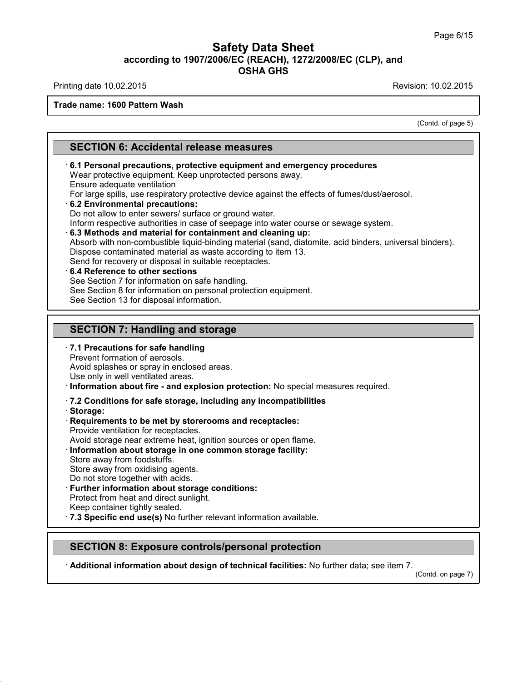## **Safety Data Sheet<br>006/EC (REACH), 1272/2008/EC (CLP),<br>OSHA GHS according to 1907/2006/EC (REACH), 1272/2008/EC (CLP), and<br>
Data Sheet (CLP), and<br>
OSHA GHS Safety Data Sheet**<br>according to 1907/2006/EC (REACH), 1272/2008/EC (CLP), and<br>OSHA GHS Safety Data Sheet<br>according to 1907/2006/EC (REACH), 1272/2008/EC (CLP), and<br>Printing date 10.02.2015<br>Frade name: CITRUS CLEANER SC<br>Revision: 10.02.2015

### **Trade name: CITRUS CLEANER SC**

on: 10.02.2015<br>(Contd. of page 5)

**SECTION 6: Accidental release measures<br>
SECTION 6: Accidental release measures<br>
6.1 Personal precautions, protective equipment and emerger SECTION 6: Accidental release measures**<br> **· 6.1 Personal precautions, protective equipment and emergency procedures**<br>
Wear protective equipment. Keep unprotected persons away.<br>
Ensure adequate ventilation 6.1 Personal precautions, protective equipment and emergency procedures<br>Wear protective equipment. Keep unprotected persons away.<br>Ensure adequate ventilation **SECTION 6: Accidental relea**<br>6.1 Personal precautions, protective<br>Wear protective equipment. Keep un<br>Ensure adequate ventilation<br>For large spills, use respiratory protections: For Personal precautions, protective equipment and emergency procedures<br>
The argument of the effects of fumes/dust/aerosol.<br>
Finsure adequate ventilation<br>
For large spills, use respiratory protective device against the eff 6.1 Personal precautions, protective equipment and emergenc<br>Wear protective equipment. Keep unprotected persons away.<br>Ensure adequate ventilation<br>For large spills, use respiratory protective device against the effects<br>6.2

Wear protective equipment. Keep unprotected persons away.<br>
Ensure adequate ventilation<br>
For large spills, use respiratory protective device against the effects of fumes/dust/aerosol.<br> **6.2 Environmental precautions:**<br>
Do n For large spills, use respiratory protective device against the effects of fumes/dust/aerosol.<br>
6.2 Environmental precautions:<br>
Do not allow to enter sewers/ surface or ground water.<br>
Inform respective authorities in case **6.2 Environmental precautions:**<br>
Do not allow to enter sewers/ surface or ground water.<br>
Inform respective authorities in case of seepage into water course or sewage system.<br> **6.3 Methods and material for containment a 6.3 Methods and material for containment and cleaning up:**<br>Absorb with non-combustible liquid-binding material (sand, diato<br>Dispose contaminated material as waste according to item 13.<br>Send for recovery or disposal in sui **6.3 Methods and material for containment and cleani**<br>Absorb with non-combustible liquid-binding material (san<br>Dispose contaminated material as waste according to ite<br>Send for recovery or disposal in suitable receptacles.<br>

Send for recovery or disposal in suitable receptacles.

- 
- 
- See Section 8 for information on personal protection equipment.<br>See Section 13 for disposal information. **S.4 Reference to other sections**<br>
See Section 7 for information on safe handling.<br>
See Section 8 for information on personal protection equi<br>
See Section 13 for disposal information.<br> **SECTION 7: Handling and storage**<br>
7.

### See Section 13 for disposal information.<br> **SECTION 7: Handling and storage**<br> **7.1 Precautions for safe handling<br>
Prevent formation of aerosols.**<br>
Avoid splashes or spray in enclosed areas. **SECTION 7: Handling and storally SECTION 7: Handling and storally Prevent formation of aerosols.**<br>Prevent formation of aerosols.<br>Avoid splashes or spray in enclosed are **SECTION 7: Handling and storage**<br> **7.1 Precautions for safe handling**<br>
Prevent formation of aerosols.<br>
Avoid splashes or spray in enclosed areas.<br>
Use only in well ventilated areas.<br>
Information about fire - and explosion

**SECTION 7: Handling and storage**<br> **7.1 Precautions for safe handling**<br>
Prevent formation of aerosols.<br>
Avoid splashes or spray in enclosed areas.<br> **Doct the - and explosion protection:** No special measures required.<br> **7.2** Use only in well ventilated areas.<br> **COM Republic Trighter in and explosion protection:** No special metals.<br> **Requirements to be met by storerooms and receptacles:**<br> **Requirements to be met by storerooms and receptacles:** Information about fire - and explosion<br>7.2 Conditions for safe storage, includ<br>Storage:<br>Requirements to be met by storeroom:<br>Provide ventilation for receptacles.<br>Avoid storage near extreme heat, ignition<br>Information about

- Avoid storage including any incompatibilities<br>
Acorage:<br> **Requirements to be met by storerooms and receptacles:**<br>
Provide ventilation for receptacles.<br>
Avoid storage near extreme heat, ignition sources or open flame.<br> **Inf**
- 

40.1.0

· **Storage:**

- Provide ventilation for receptacles.<br>Avoid storage near extreme heat, in<br>Information about storage in one<br>Store away from foodstuffs.<br>Store away from oxidising agents.<br>Do not store together with acids. Avoid storage near extreme heat, ignition sources or open flame.
- **Information about storage in one common storage facility:**<br>Store away from foodstuffs.<br>Store away from oxidising agents.<br>Do not store together with acids.<br>**· Further information about storage conditions:**<br>Protect from hea
- 

**Further information about storage conditions:**<br>Protect from heat and direct sunlight.<br>Keep container tightly sealed.<br>**7.3 Specific end use(s)** No further relevant information available. Store away from foodstuffs.<br>
Store away from oxidising agents.<br>
Do not store together with acids.<br> **· Further information about storage conditions:**<br>
Protect from heat and direct sunlight.<br>
Keep container tightly sealed.<br>

Further information about storage conditions:<br>Protect from heat and direct sunlight.<br>Keep container tightly sealed.<br>7.3 Specific end use(s) No further relevant information available.<br>SECTION 8: Exposure controls/personal p · **Additional information about design of technical facilities:** No further data; see item 7.

(Contd. on page 7)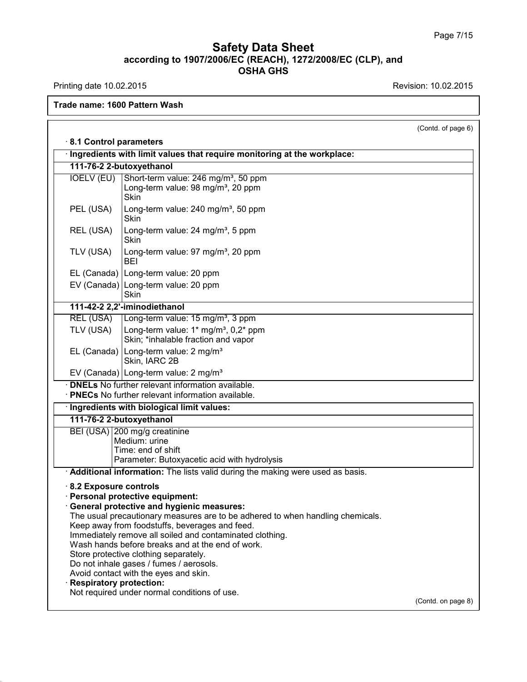40.1.0

|                                                                 | Trade name: CITRUS CLEANER SC                                                                                                                                                                                                                                                                                                                                                                                                                                                                                                                                                                     |                    |
|-----------------------------------------------------------------|---------------------------------------------------------------------------------------------------------------------------------------------------------------------------------------------------------------------------------------------------------------------------------------------------------------------------------------------------------------------------------------------------------------------------------------------------------------------------------------------------------------------------------------------------------------------------------------------------|--------------------|
|                                                                 |                                                                                                                                                                                                                                                                                                                                                                                                                                                                                                                                                                                                   |                    |
|                                                                 |                                                                                                                                                                                                                                                                                                                                                                                                                                                                                                                                                                                                   | (Contd. of page 6) |
| 8.1 Control parameters                                          |                                                                                                                                                                                                                                                                                                                                                                                                                                                                                                                                                                                                   |                    |
|                                                                 | · Ingredients with limit values that require monitoring at the workplace:                                                                                                                                                                                                                                                                                                                                                                                                                                                                                                                         |                    |
|                                                                 | 111-76-2 2-butoxyethanol                                                                                                                                                                                                                                                                                                                                                                                                                                                                                                                                                                          |                    |
| <b>IOELV (EU)</b>                                               | Short-term value: 246 mg/m <sup>3</sup> , 50 ppm<br>Long-term value: 98 mg/m <sup>3</sup> , 20 ppm<br><b>Skin</b>                                                                                                                                                                                                                                                                                                                                                                                                                                                                                 |                    |
| PEL (USA)                                                       | Long-term value: 240 mg/m <sup>3</sup> , 50 ppm<br>Skin                                                                                                                                                                                                                                                                                                                                                                                                                                                                                                                                           |                    |
| REL (USA)                                                       | Long-term value: 24 mg/m <sup>3</sup> , 5 ppm<br>Skin                                                                                                                                                                                                                                                                                                                                                                                                                                                                                                                                             |                    |
| TLV (USA)                                                       | Long-term value: 97 mg/m <sup>3</sup> , 20 ppm<br>BEI                                                                                                                                                                                                                                                                                                                                                                                                                                                                                                                                             |                    |
|                                                                 | EL (Canada)   Long-term value: 20 ppm                                                                                                                                                                                                                                                                                                                                                                                                                                                                                                                                                             |                    |
|                                                                 | EV (Canada) Long-term value: 20 ppm<br>Skin                                                                                                                                                                                                                                                                                                                                                                                                                                                                                                                                                       |                    |
|                                                                 | DNELs No further relevant information available.<br>· <b>PNECs</b> No further relevant information available.                                                                                                                                                                                                                                                                                                                                                                                                                                                                                     |                    |
|                                                                 |                                                                                                                                                                                                                                                                                                                                                                                                                                                                                                                                                                                                   |                    |
|                                                                 | · Ingredients with biological limit values:                                                                                                                                                                                                                                                                                                                                                                                                                                                                                                                                                       |                    |
|                                                                 | 111-76-2 2-butoxyethanol<br>BEI (USA) 200 mg/g creatinine                                                                                                                                                                                                                                                                                                                                                                                                                                                                                                                                         |                    |
|                                                                 | Medium: urine                                                                                                                                                                                                                                                                                                                                                                                                                                                                                                                                                                                     |                    |
|                                                                 | Time: end of shift                                                                                                                                                                                                                                                                                                                                                                                                                                                                                                                                                                                |                    |
|                                                                 | Parameter: Butoxyacetic acid with hydrolysis                                                                                                                                                                                                                                                                                                                                                                                                                                                                                                                                                      |                    |
| $\cdot$ 8.2 Exposure controls<br><b>Respiratory protection:</b> | Additional information: The lists valid during the making were used as basis.<br>· Personal protective equipment:<br>· General protective and hygienic measures:<br>The usual precautionary measures are to be adhered to when handling chemicals.<br>Keep away from foodstuffs, beverages and feed.<br>Immediately remove all soiled and contaminated clothing.<br>Wash hands before breaks and at the end of work.<br>Store protective clothing separately.<br>Do not inhale gases / fumes / aerosols.<br>Avoid contact with the eyes and skin.<br>Not required under normal conditions of use. |                    |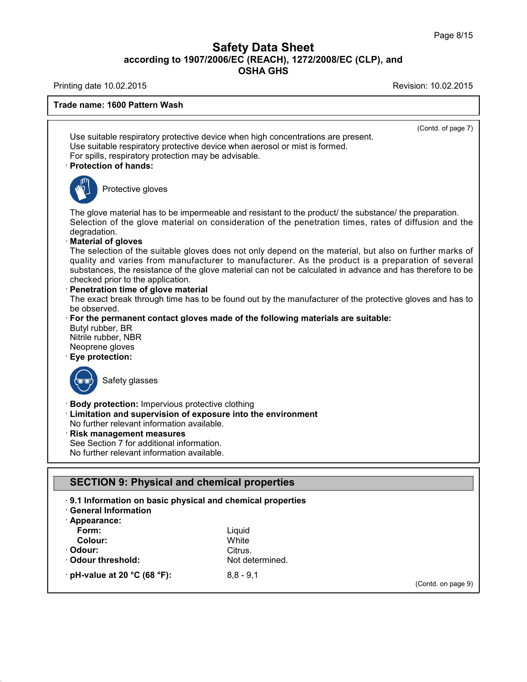| <b>Filliting date TO.02.2010</b>                                                                                                                                                                                                                                                                                                                                                                                                                                                                                                        | NEVISIUII. TUJUZIZUTU                                                                                                                                                                                                                                                                                                                                                                                                                                                                                                                                                                                                                                                                                                                             |
|-----------------------------------------------------------------------------------------------------------------------------------------------------------------------------------------------------------------------------------------------------------------------------------------------------------------------------------------------------------------------------------------------------------------------------------------------------------------------------------------------------------------------------------------|---------------------------------------------------------------------------------------------------------------------------------------------------------------------------------------------------------------------------------------------------------------------------------------------------------------------------------------------------------------------------------------------------------------------------------------------------------------------------------------------------------------------------------------------------------------------------------------------------------------------------------------------------------------------------------------------------------------------------------------------------|
| <b>Trade name: CITRUS CLEANER SC</b>                                                                                                                                                                                                                                                                                                                                                                                                                                                                                                    |                                                                                                                                                                                                                                                                                                                                                                                                                                                                                                                                                                                                                                                                                                                                                   |
| For spills, respiratory protection may be advisable.<br>· Protection of hands:                                                                                                                                                                                                                                                                                                                                                                                                                                                          | (Contd. of page 7)<br>Use suitable respiratory protective device when high concentrations are present.<br>Use suitable respiratory protective device when aerosol or mist is formed.                                                                                                                                                                                                                                                                                                                                                                                                                                                                                                                                                              |
| Protective gloves                                                                                                                                                                                                                                                                                                                                                                                                                                                                                                                       |                                                                                                                                                                                                                                                                                                                                                                                                                                                                                                                                                                                                                                                                                                                                                   |
| degradation.<br><b>Material of gloves</b><br>checked prior to the application.<br>Penetration time of glove material<br>be observed.<br>Butyl rubber, BR<br>Nitrile rubber, NBR<br>Neoprene gloves<br>Eye protection:<br>Safety glasses<br><b>Body protection: Impervious protective clothing</b><br>· Limitation and supervision of exposure into the environment<br>No further relevant information available.<br>Risk management measures<br>See Section 7 for additional information.<br>No further relevant information available. | The glove material has to be impermeable and resistant to the product/ the substance/ the preparation.<br>Selection of the glove material on consideration of the penetration times, rates of diffusion and the<br>The selection of the suitable gloves does not only depend on the material, but also on further marks of<br>quality and varies from manufacturer to manufacturer. As the product is a preparation of several<br>substances, the resistance of the glove material can not be calculated in advance and has therefore to be<br>The exact break through time has to be found out by the manufacturer of the protective gloves and has to<br>$\cdot$ For the permanent contact gloves made of the following materials are suitable: |
| <b>SECTION 9: Physical and chemical properties</b>                                                                                                                                                                                                                                                                                                                                                                                                                                                                                      |                                                                                                                                                                                                                                                                                                                                                                                                                                                                                                                                                                                                                                                                                                                                                   |
| 9.1 Information on basic physical and chemical properties<br><b>General Information</b><br>· Appearance:<br>Form:<br><b>Colour:</b><br>· Odour:<br>· Odour threshold:                                                                                                                                                                                                                                                                                                                                                                   | Liquid<br>Clear<br>Citrus.<br>Not determined.                                                                                                                                                                                                                                                                                                                                                                                                                                                                                                                                                                                                                                                                                                     |
| $\cdot$ pH-value at 20 °C (68 °F):                                                                                                                                                                                                                                                                                                                                                                                                                                                                                                      | $6 - 8.5$                                                                                                                                                                                                                                                                                                                                                                                                                                                                                                                                                                                                                                                                                                                                         |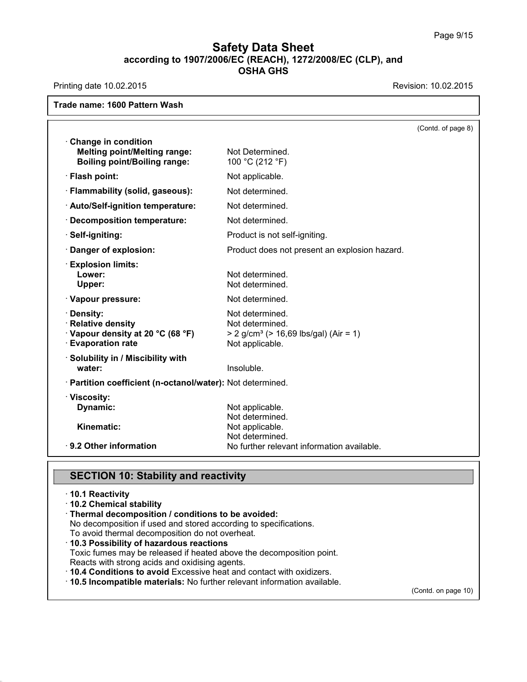| <b>Trade name: CITRUS CLEANER SC</b>                                       |                                                                      |                    |
|----------------------------------------------------------------------------|----------------------------------------------------------------------|--------------------|
|                                                                            |                                                                      | (Contd. of page 8) |
| Change in condition                                                        |                                                                      |                    |
| <b>Melting point/Melting range:</b><br><b>Boiling point/Boiling range:</b> | Not Determined.<br>100 °C (212 °F)                                   |                    |
| · Flash point:                                                             | Not applicable.                                                      |                    |
| · Flammability (solid, gaseous):                                           | Not determined.                                                      |                    |
| · Auto/Self-ignition temperature:                                          | Not determined.                                                      |                    |
| <b>Decomposition temperature:</b>                                          | Not determined.                                                      |                    |
| · Self-igniting:                                                           | Product is not self-igniting.                                        |                    |
| · Danger of explosion:                                                     | Product does not present an explosion hazard.                        |                    |
| <b>Explosion limits:</b>                                                   |                                                                      |                    |
| Lower:<br>Upper:                                                           | Not determined.<br>Not determined.                                   |                    |
| · Vapour pressure:                                                         | Not determined.                                                      |                    |
| · Density:                                                                 | Not determined.                                                      |                    |
| · Relative density<br>· Vapour density at 20 °C (68 °F)                    | Not determined.<br>> 2 g/cm <sup>3</sup> (> 16,69 lbs/gal) (Air = 1) |                    |
| <b>Evaporation rate</b>                                                    | Not applicable.                                                      |                    |
| · Solubility in / Miscibility with                                         |                                                                      |                    |
| water:                                                                     | Insoluble.                                                           |                    |
| · Partition coefficient (n-octanol/water): Not determined.                 |                                                                      |                    |
| · Viscosity:                                                               |                                                                      |                    |
| Dynamic:                                                                   | Not applicable.<br>Not determined.                                   |                    |
| Kinematic:                                                                 | Not applicable.                                                      |                    |
|                                                                            | Not determined.                                                      |                    |
| · 9.2 Other information                                                    | No further relevant information available.                           |                    |

40.1.0

- **SECTION 10: Stability and reactivity**<br>↑10.1 Reactivity<br>↑10.2 Chemical stability
- · Thermal decomposition / conditions to be avoided:

**SECTION 10: Stability and reactivity**<br> **10.1 Reactivity**<br> **10.2 Chemical stability**<br> **Thermal decomposition / conditions to be avoided:**<br>
No decomposition if used and stored according to specifications.<br>
To avoid thermal **SECTION 10: Stability and reactivity<br>10.1 Reactivity<br>10.2 Chemical stability<br>Thermal decomposition / conditions to be avoided:<br>No decomposition if used and stored according to specifications.<br>To avoid thermal decompositio** 

- To avoid the reactivity<br>
Thermal decomposition / conditions to be avoided:<br>
No decomposition if used and stored according to specifica<br>
To avoid thermal decomposition do not overheat.<br> **10.3 Possibility of hazardous reacti** 10.2 Chemical stability<br>Thermal decomposition / conditions to be avoided:<br>No decomposition if used and stored according to specifications.<br>To avoid thermal decomposition do not overheat.<br>10.3 Possibility of hazardous react **Thermal decomposition / conditions to be avoided:**<br>
No decomposition if used and stored according to specifications.<br> **10.3 Possibility of hazardous reactions**<br>
Toxic fumes may be released if heated above the decompositi
- 

(Contd. on page 10)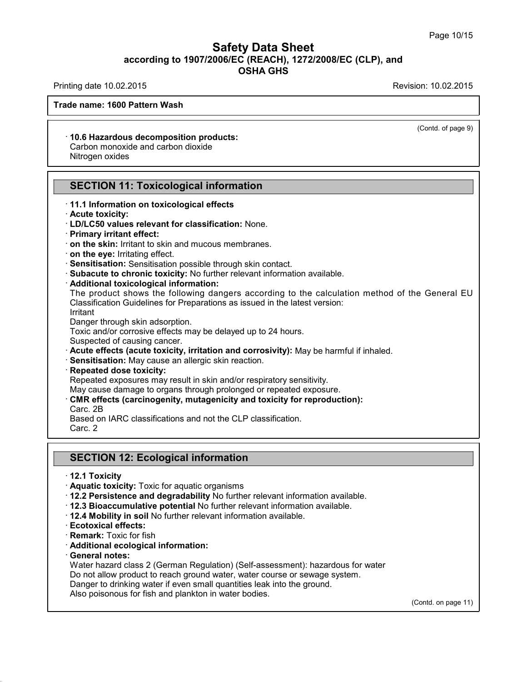## **Safety Data Sheet<br>006/EC (REACH), 1272/2008/EC (CLP),<br>OSHA GHS according to 1907/2006/EC (REACH), 1272/2008/EC (CLP), and<br>
Data GREACH), 1272/2008/EC (CLP), and<br>
Data GREACHS Safety Data Sheet**<br>according to 1907/2006/EC (REACH), 1272/2008/EC (CLP), and<br>OSHA GHS Safety Data Sheet<br>according to 1907/2006/EC (REACH), 1272/2008/EC (CLP), and<br>Printing date 10.02.2015<br>Revision: 10.02.2015<br>Revision: 10.02.2015

(Contd. of page 9)

### **Trade name: CITRUS CLEANER SC**

**10.6 Hazardous decomposition products:**<br>
Carbon monoxide and carbon dioxide<br>
Nitrogen oxides le name: CITRUS CLEANER SC<br>10.6 Hazardous decomposition products:<br>Carbon monoxide and carbon dioxide<br>Nitrogen oxides The Hame: CITROS CLEANE<br>
10.6 Hazardous decompos<br>
Carbon monoxide and carbo<br>
Nitrogen oxides 10.6 Hazardous decomposition products:<br>Carbon monoxide and carbon dioxide<br>Nitrogen oxides<br>**SECTION 11: Toxicological information**<br>11.1 Information on toxicological effects

## Nitrogen oxides<br>
← <del>II.</del><br>
SECTION 11: Toxicological information<br>
⊤11.1 Information on toxicological effects<br>← Acute toxicity: **SECTION 11: Toxico**<br> **Acute toxicity:**<br> **Acute toxicity:**<br> **Acute toxicity:**<br> **Acute toxicity:**<br> **Acute toxicity:**<br> **Action**: Primary irritant effect: **SECTION 11: Toxicological information**<br>
• **11.1 Information on toxicological effects**<br>
• **Acute toxicity:**<br>
• **LD/LC50 values relevant for classification:** None.<br>
• **Primary irritant effect:**<br>
• **on the skin:** Irritant to

- 
- 
- 
- 
- 
- 
- 
- 
- 

11.1 Information on toxicological effects<br>
11.1 Information on toxicological effects<br>
1D/LC50 values relevant for classification: None.<br>
1Primary irritant effect:<br>
1 on the skin: Irritant to skin and mucous membranes.<br>
1 o on the skin: Irritant to skin and mucous membranes.<br>
on the eye: Irritating effect.<br>
Sensitisation: Sensitisation possible through skin contact.<br>
Subacute to chronic toxicity: No further relevant information available.<br>
Ad on the eye: Irritating effect.<br>Sensitisation: Sensitisation possible through skin contact.<br>Subacute to chronic toxicity: No further relevant information available.<br>Additional toxicological information:<br>The product shows th **Subacute to chronic toxicity:** No furth<br>**Additional toxicological information:**<br>The product shows the following dar<br>Classification Guidelines for Preparation<br>Irritant<br>Danger through skin adsorption.<br>Toxic and/or corrosive Additional toxicological information:<br>The product shows the following dangers according to the calculation<br>Classification Guidelines for Preparations as issued in the latest version:<br>Irritant<br>Danger through skin adsorption The product shows the following dangers according to the calculation method of the Ge<br>
Classification Guidelines for Preparations as issued in the latest version:<br>
Irritant<br>
Danger through skin adsorption.<br>
Toxic and/or co

Irritant<br>Danger through skin adsorption.

- Foxic and/or corrosive effects may be delayed up to 24 hours.<br>Suspected of causing cancer.<br>**Acute effects (acute toxicity, irritation and corrosivity):** May be harmful if<br>**Sensitisation:** May cause an allergic skin reactio Suspected of causing cancer.<br> **Acute effects (acute toxicity, irritation and corrosivity):** May be harmful if inhale<br> **Repeated dose toxicity:**<br> **Repeated exposures may result in skin and/or respiratory sensitivity.**<br>
May
- 
- 

- 
- 

**Sensitisation:** May caus<br>**Repeated dose toxicity**<br>Repeated exposures may<br>May cause damage to or<br>**CMR effects (carcinoge**<br>Carc. 2B<br>Based on IARC classifica Repeated dose toxicity:<br>Repeated exposures may result in skin and/or respiratory sensitivit<br>May cause damage to organs through prolonged or repeated expo<br>CMR effects (carcinogenity, mutagenicity and toxicity for repre<br>Carc Repeated exposures may<br>May cause damage to or<br>**CMR effects (carcinoge**<br>Carc. 2B<br>Based on IARC classifica<br>Carc. 2 **CARE SECTION 12: Ecological information<br>SECTION 12: Ecological information<br>12.1 Toxicity<br>12.1 Toxicity** 

# Carc. 2<br> **12.1 Toxicity<br>
12.1 Toxicity**<br>
12.1 Toxicity<br>
12.4 **Aquatic toxicity:** Toxic for aquatic organisms **SECTION 12: Ecological information**<br>12.1 Toxicity: Toxic for aquatic organisms<br>12.2 Persistence and degradability No further relevant<br>12.3 Bioaccumulative potential No further relevant in

- 
- SECTION 12: Ecological information<br>
12.1 Toxicity<br>
Aquatic toxicity: Toxic for aquatic organisms<br>
12.2 Persistence and degradability No further relevant information available.<br>
12.3 Bioaccumulative potential No further rel
- **12.3 Bioaccumulative potential No further relevant information available.**<br> **12.4 Mobility in soil No further relevant information available.**<br> **Ecotoxical effects:**<br> **Remark:** Toxic for fish<br> **Additional ecological infor**
- **Aquatic toxicity:** Toxic for aquatic org<br>
 **12.2 Persistence and degradability**<br>
 **12.3 Bioaccumulative potential No f**<br>
 **12.4 Mobility in soil No further relevals<br>
 <b>Ecotoxical effects:**<br>
 **Remark:** Toxic for fis
- 
- 
- 
- 

40.1.0

**12.4 Mobility in soil No further relevant information available.**<br> **Ecotoxical effects:**<br> **Remark:** Toxic for fish<br> **Additional ecological information:**<br> **General notes:**<br>
Water hazard class 2 (German Regulation) (Self-as 12.4 Mobility in soil No further relevant information available.<br>Ecotoxical effects:<br>Remark: Toxic for fish<br>Additional ecological information:<br>General notes:<br>Water hazard class 2 (German Regulation) (Self-assessment): haza Ecotoxical effects:<br>
Remark: Toxic for fish<br>
Additional ecological information:<br>
General notes:<br>
Water hazard class 2 (German Regulation) (Self-assessment): hazardous for water<br>
Do not allow product to reach ground water, **Remark:** Toxic for fish<br>**Additional ecological information:**<br>**General notes:**<br>Water hazard class 2 (German Regulation) (Self-assessment): hazardous for wa<br>Do not allow product to reach ground water, water course or sewage Additional ecological information:<br>
General notes:<br>
Water hazard class 2 (German Regulation) (Self-assessment): h<br>
Do not allow product to reach ground water, water course or sew<br>
Danger to drinking water if even small qua

(Contd. on page 11)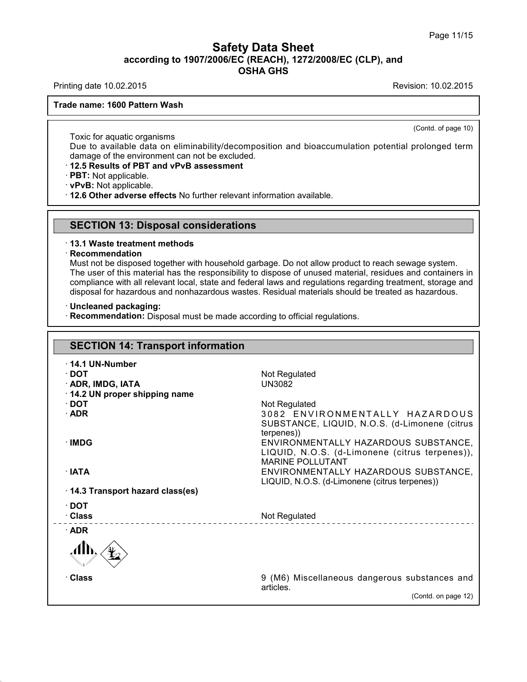# **Safety Data Sheet**<br> **according to 1907/2006/EC (REACH), 1272/2008/EC (CLP), and**<br> **OSHA GHS** t<mark>y Data Sheet</mark><br>C (REACH), 1272/2008/E<br>OSHA GHS Safety Data Sheet<br>according to 1907/2006/EC (REACH), 1272/2008/EC (CLP), and<br>Printing date 10.02.2015<br>Frade name: CITBUS CLEANER SC

**Trade name: CITRUS CLEANER SC**

(Contd. of page 10)

Toxic for aquatic organisms<br>Due to available data on eliminate damage of the environment can not Public COUTRUS CLEANER SC<br>
Due to available data on eliminability/decomposition and bioaccumulation potential prolonged term<br>
damage of the environment can not be excluded.<br>
12.5 Results of PRT and vPvR assessment de name: CITRUS CLEANER SC<br>
Toxic for aquatic organisms<br>
Due to available data on eliminability/decomposition a<br>
damage of the environment can not be excluded.<br> **· 12.5 Results of PBT and vPvB assessment**<br> **· PBT:** Not app **Toxic for aquatic organisms**<br>
Due to available data on eliminability/decomposition and bioaccumulation<br>
damage of the environment can not be excluded.<br> **· 12.5 Results of PBT and vPvB assessment**<br> **· PBT:** Not applicable

**SECTION 13: Disposal considerations**<br> **SECTION 13: Disposal considerations**<br> **SECTION 13: Disposal considerations**<br> **SECTION 13: Disposal considerations** 

### · **Recommendation**

**SECTION 13: Disposal considerations**<br>13.1 Waste treatment methods<br>Recommendation<br>Must not be disposed together with household garbage. Do not allow product to reach sewage system. **SECTION 13: Disposal considerations**<br>13.1 Waste treatment methods<br>Recommendation<br>Must not be disposed together with household garbage. Do not allow product to reach sewage system.<br>The user of this material has the respons SECTION 13: Disposal considerations<br>13.1 Waste treatment methods<br>Recommendation<br>Must not be disposed together with household garbage. Do not allow product to reach sewage system.<br>The user of this material has the responsib 13.1 Waste treatment methods<br>Recommendation<br>Must not be disposed together with household garbage. Do not allow product to reach sewage system.<br>The user of this material has the responsibility to dispose of unused material, disposed to the disposed together with household garbage. Do not allow product to reach sewage system.<br>
The user of this material has the responsibility to dispose of unused material, residues and containers in<br>
compliance The user of this material has the responsibility to dispose of unused material, residual compliance with all relevant local, state and federal laws and regulations regarding disposal for hazardous and nonhazardous wastes.

| <b>SECTION 14: Transport information</b> |                                                |
|------------------------------------------|------------------------------------------------|
|                                          |                                                |
| $\cdot$ 14.1 UN-Number<br>$\cdot$ DOT    |                                                |
| · ADR, IMDG, IATA                        | Not Regulated<br><b>UN3082</b>                 |
| 14.2 UN proper shipping name             |                                                |
| $\cdot$ DOT                              | Not Regulated                                  |
| $\cdot$ ADR                              | 3082 ENVIRONMENTALLY HAZARDOUS                 |
|                                          | SUBSTANCE, LIQUID, N.O.S. (d-Limonene (citrus  |
|                                          | terpenes))                                     |
| · IMDG                                   | ENVIRONMENTALLY HAZARDOUS SUBSTANCE,           |
|                                          | LIQUID, N.O.S. (d-Limonene (citrus terpenes)), |
|                                          | <b>MARINE POLLUTANT</b>                        |
| $\cdot$ IATA                             | ENVIRONMENTALLY HAZARDOUS SUBSTANCE,           |
|                                          | LIQUID, N.O.S. (d-Limonene (citrus terpenes))  |
| 14.3 Transport hazard class(es)          |                                                |
| $\cdot$ DOT                              |                                                |
| · Class                                  | Not Regulated                                  |
| $\cdot$ ADR                              |                                                |
|                                          |                                                |
| · Class                                  | 9 (M6) Miscellaneous dangerous substances and  |
|                                          | articles.                                      |
|                                          | (Contd. on page 12)                            |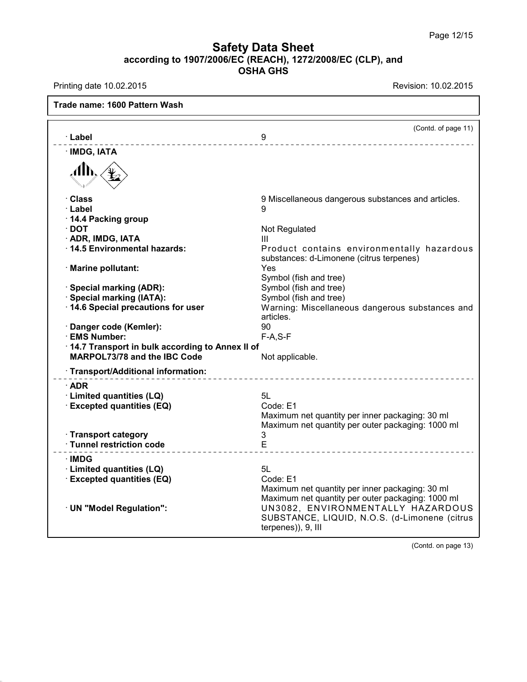# **Safety Data Sheet**<br> **according to 1907/2006/EC (REACH), 1272/2008/EC (CLP), and**<br> **OSHA GHS** t<mark>y Data Sheet</mark><br>C (REACH), 1272/2008/E<br>OSHA GHS Safety Data Sheet<br>according to 1907/2006/EC (REACH), 1272/2008/EC (CLP), and<br>Printing date 10.02.2015<br>Frade name: CITRUS CLEANER SC

| <b>Trade name: CITRUS CLEANER SC</b>            |                                                                                        |
|-------------------------------------------------|----------------------------------------------------------------------------------------|
|                                                 | (Contd. of page 11)                                                                    |
| · Label                                         | 9<br>________________________                                                          |
| · IMDG, IATA                                    |                                                                                        |
| .Alħ                                            |                                                                                        |
| · Class                                         | 9 Miscellaneous dangerous substances and articles.                                     |
| · Label                                         | 9                                                                                      |
| 14.4 Packing group                              |                                                                                        |
| $\cdot$ DOT                                     | Not Regulated                                                                          |
| · ADR, IMDG, IATA                               | Ш                                                                                      |
| 14.5 Environmental hazards:                     | Product contains environmentally hazardous<br>substances: d-Limonene (citrus terpenes) |
| · Marine pollutant:                             | Yes                                                                                    |
|                                                 | Symbol (fish and tree)                                                                 |
| · Special marking (ADR):                        | Symbol (fish and tree)                                                                 |
| · Special marking (IATA):                       | Symbol (fish and tree)                                                                 |
| 14.6 Special precautions for user               | Warning: Miscellaneous dangerous substances and<br>articles.                           |
| · Danger code (Kemler):                         | 90                                                                                     |
| · EMS Number:                                   | $F-A, S-F$                                                                             |
| 14.7 Transport in bulk according to Annex II of |                                                                                        |
| MARPOL73/78 and the IBC Code                    | Not applicable.                                                                        |
| · Transport/Additional information:             | -------------------------------                                                        |
| $\cdot$ ADR                                     |                                                                                        |
| · Limited quantities (LQ)                       | 5L                                                                                     |
| · Excepted quantities (EQ)                      | Code: E1                                                                               |
|                                                 | Maximum net quantity per inner packaging: 30 ml                                        |
|                                                 | Maximum net quantity per outer packaging: 1000 ml                                      |
| · Transport category                            | 3                                                                                      |
| · Tunnel restriction code                       | E                                                                                      |
| ∴IMDG                                           |                                                                                        |
| · Limited quantities (LQ)                       | 5L                                                                                     |
| <b>Excepted quantities (EQ)</b>                 | Code: E1                                                                               |
|                                                 | Maximum net quantity per inner packaging: 30 ml                                        |
|                                                 | Maximum net quantity per outer packaging: 1000 ml                                      |
| · UN "Model Regulation":                        | UN3082, ENVIRONMENTALLY HAZARDOUS                                                      |
|                                                 | SUBSTANCE, LIQUID, N.O.S. (d-Limonene (citrus<br>terpenes)), 9, III                    |
|                                                 |                                                                                        |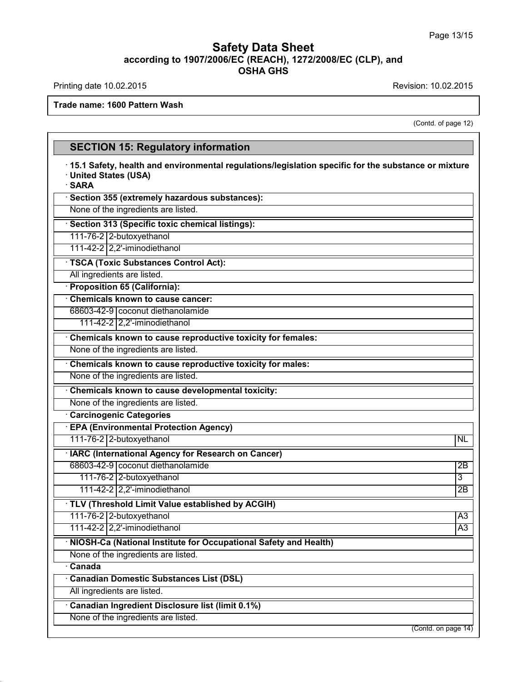40.1.0

(ion: 10.02.2015)<br>(Contd. of page 12)

| <b>Trade name: CITRUS CLEANER SC</b>                                                                                                   |                     |
|----------------------------------------------------------------------------------------------------------------------------------------|---------------------|
|                                                                                                                                        | (Contd. of page 12) |
| <b>SECTION 15: Regulatory information</b>                                                                                              |                     |
| 15.1 Safety, health and environmental regulations/legislation specific for the substance or mixture<br>· United States (USA)<br>· SARA |                     |
| · Section 355 (extremely hazardous substances):                                                                                        |                     |
| None of the ingredients are listed.                                                                                                    |                     |
| · Section 313 (Specific toxic chemical listings):                                                                                      |                     |
| 111-76-2 2-butoxyethanol                                                                                                               |                     |
|                                                                                                                                        |                     |
| · TSCA (Toxic Substances Control Act):                                                                                                 |                     |
| All ingredients are listed.                                                                                                            |                     |
| · Proposition 65 (California):                                                                                                         |                     |
| Chemicals known to cause cancer:                                                                                                       |                     |
| None of the ingredients are listed.                                                                                                    |                     |
| Chemicals known to cause reproductive toxicity for females:                                                                            |                     |
| None of the ingredients are listed.                                                                                                    |                     |
| Chemicals known to cause reproductive toxicity for males:                                                                              |                     |
| None of the ingredients are listed.                                                                                                    |                     |
| Chemicals known to cause developmental toxicity:                                                                                       |                     |
| None of the ingredients are listed.                                                                                                    |                     |
| <b>Carcinogenic Categories</b>                                                                                                         |                     |
| <b>EPA (Environmental Protection Agency)</b>                                                                                           |                     |
| 111-76-2 2-butoxyethanol                                                                                                               | <b>NL</b>           |
| · IARC (International Agency for Research on Cancer)                                                                                   |                     |
| 111-76-2 2-butoxyethanol                                                                                                               | 3                   |
|                                                                                                                                        |                     |
| · TLV (Threshold Limit Value established by ACGIH)<br>111-76-2 2-butoxyethanol                                                         | $\overline{A3}$     |
|                                                                                                                                        |                     |
| · NIOSH-Ca (National Institute for Occupational Safety and Health)                                                                     |                     |
| None of the ingredients are listed.                                                                                                    |                     |
| $\overline{\cdot}$ Canada                                                                                                              |                     |
| <b>Canadian Domestic Substances List (DSL)</b>                                                                                         |                     |
| All ingredients are listed.                                                                                                            |                     |
| Canadian Ingredient Disclosure list (limit 0.1%)                                                                                       |                     |
| None of the ingredients are listed.                                                                                                    |                     |
|                                                                                                                                        | (Contd. on page 14) |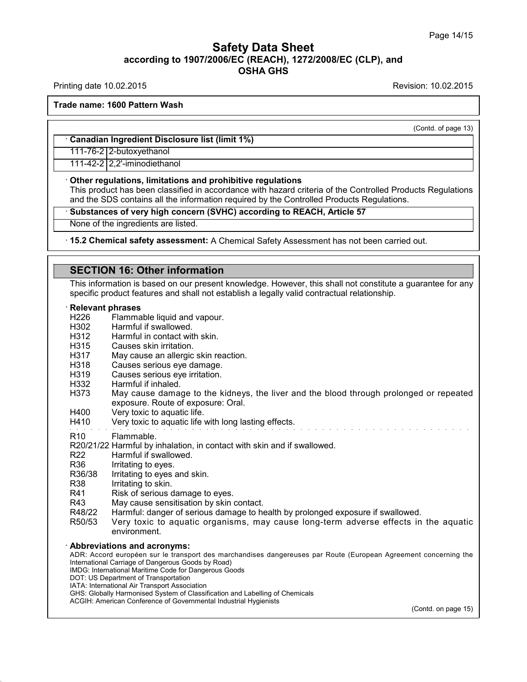## **Safety Data Sheet<br>006/EC (REACH), 1272/2008/EC (CLP),<br>OSHA GHS according to 1907/2006/EC (REACH), 1272/2008/EC (CLP), and<br>
Data GREACH), 1272/2008/EC (CLP), and<br>
Data GREACHS Safety Data Sheet**<br>according to 1907/2006/EC (REACH), 1272/2008/EC (CLP), and<br>OSHA GHS Safety Data Sheet<br>according to 1907/2006/EC (REACH), 1272/2008/EC (CLP), and<br>OSHA GHS<br>Revision: 10.02.2015<br>Revision: 10.02.2015

**Trade name: CITRUS CLEANER SC**

(Contd. of page 13)

## **ade name: CITRUS CLEANER SC<br>
· Canadian Ingredient Disclosure list (limit 1%)**<br>
111-76-2 2-butoxyethanol Canadian Ingredient Disclosure list (limit 1%)<br>111-76-2 2-butoxyethanol

**Example 111-76-2 2-butoxyethanol**<br> **Consequence 111-76-2 2-butoxyethanol**<br> **Consequence in accordance in accordance with hazard criteria of the SDS contains all the information required by the Controlled Pro** This product has been classified in accordance with hazard criteria of the Controlled Products Regulations<br>
This product has been classified in accordance with hazard criteria of the Controlled Products Regulations<br>
and th and the SDS contains and prohibitive regulations<br>
This product has been classified in accordance with hazard criteria of the Controlled Products Repulations.<br> **• Substances of very high concern (SVHC) according to REACH, A** None of the ingredients are listed. This product has been classified in accordance with hazard criteria of the Controlled Products Regulations<br>
and the SDS contains all the information required by the Controlled Products

**Substances or very nigh concern (SVHC) according the interpedients are listed.**<br> **15.2 Chemical safety assessment:** A Chemical Safence II Safety assessment: A Chemical Safence II SecTION 16: Other information<br>
This inform This information<br>This information is based on our present knowledge. However, this shall not constitute a guarantee for any<br>specific product features and shall not establish a legally valid contractual relationship.<br>Releva **SECTION 16: Other information**<br>This information is based on our present knowledge. However, this shall not constitute a gual<br>specific product features and shall not establish a legally valid contractual relationship.<br>**· R** 

- H226 Flammable liquid and vapour.
- H302 H312 Harmful if swallowed.
- H315 Harmful in contact with skin.
- H317 Causes skin irritation.
- H318 May cause an allergic skin reaction.
- H319 Causes serious eye damage.
- H332 Causes serious eye irritation.
- Harmful if inhaled.
- H400 Very toxic to aquatic life.
- H410 Very toxic to aquatic life with long lasting effects.

R20/21/22 Harmful by inhalation, in contact with skin and if swallowed.<br>R20/21/22 Harmful by inhalation, in contact with skin and if swallowed.<br>R22 Harmful if swallowed. R20/21/22 Harmful by inhalation, in contracts are all the swallowed.<br>R22 Harmful if swallowed.<br>R36 Irritating to eyes.<br>R36/38 Irritating to eyes and skin R20/21/22 Harmful by inhalation, in conta<br>R22 Harmful if swallowed.<br>R36 Irritating to eyes.<br>R36/38 Irritating to eyes and skin. R20/21/22 Harmful by inhalation, in contact with skinch<br>R22 Harmful if swallowed.<br>R36 Irritating to eyes and skin.<br>R38 Irritating to eyes and skin.<br>R38 Irritating to skin.<br>R41 Risk of serious damage to eyes

- 
- 
- 
- 
- R20/21/22 Harmful by inhalation, in conta<br>
R22 Harmful if swallowed.<br>
R36 Irritating to eyes.<br>
R36/38 Irritating to eyes and skin.<br>
R38 Irritating to skin.<br>
R41 Risk of serious damage to eye<br>
R43 May cause sensitisation by
- R20/21/22 Harmful by inhalation, in contact with skin and<br>R22 Harmful if swallowed.<br>R36 Irritating to eyes.<br>R36/38 Irritating to eyes and skin.<br>R38 Irritating to skin.<br>R41 Risk of serious damage to eyes.<br>R43 May cause sens
- R22 Harmful if swallowed.<br>
R36 Irritating to eyes.<br>
R36/38 Irritating to eyes and skin.<br>
R38 Irritating to skin.<br>
R41 Risk of serious damage to eyes.<br>
R43 May cause sensitisation by skin contact.<br>
R48/22 Harmful: danger of
- R36 Irritating to eyes.<br>
R36/38 Irritating to eyes and skin.<br>
R38 Irritating to skin.<br>
R41 Risk of serious damage to eyes.<br>
R43 May cause sensitisation by skin contact.<br>
R48/22 Harmful: danger of serious damage to health b R36/38 Irritating to eyes and skin.<br>
R38 Irritating to skin.<br>
R41 Risk of serious damage to eyes.<br>
R43 May cause sensitisation by skin contact.<br>
R48/22 Harmful: danger of serious damage to health by prolonged exposure if s environment. R43 May cause sensitisation by s<br>
R48/22 Harmful: danger of serious c<br>
R50/53 Very toxic to aquatic organized<br>
more environment.<br> **Abbreviations and acronyms:**<br>
ADR: Accord européen sur le transport des<br>
International Carr N=0/22<br>
R50/53 Very toxic to aquatic organisms, may cause long-term adverse effects in the aquatic<br>
environment.<br>
ADDR: Accord européen sur le transport des marchandises dangereuses par Route (European Agreement concerning

RSU/33 Very toxic to aquatic organisms, may<br>environment.<br>**Abbreviations and acronyms:**<br>ADR: Accord européen sur le transport des marchandises d<br>International Carriage of Dangerous Goods by Road)<br>INDG: International Martime environment.<br> **Abbreviations and acronyms:**<br>
ADR: Accord européen sur le transport des marchandises dang<br>
International Carriage of Dangerous Goods by Road)<br>
IMDG: International Maritime Code for Dangerous Goods<br>
IOTI: US **Abbreviations and acronyms:**<br>ADR: Accord européen sur le transport des<br>International Carriage of Dangerous Goods by R<br>IMDG: International Maritime Code for Dangerou<br>DOT: US Department of Transport Association<br>IATA: Intern ADDreVIations and acronyms:<br>
ADR: Accord européen sur le transport des marc<br>
International Carriage of Dangerous Goods by Road)<br>
IMDG: International Maritime Code for Dangerous Goo<br>
DOT: US Department of Transport Associat ADR: Accord européen sur le transport des marchandises dangereuses par Rou<br>International Carriage of Dangerous Goods by Road)<br>IMDG: International Maritime Code for Dangerous Goods<br>DOT: US Department of Transportation<br>IATA:

- 
- 

40.1.0

- 
- International Carriage of Dangerous Goods by Road)<br>IMDG: International Maritime Code for Dangerous Goods<br>DOT: US Department of Transportation<br>IATA: International Air Transport Association<br>GHS: Globally Harmonised System of

(Contd. on page 15)